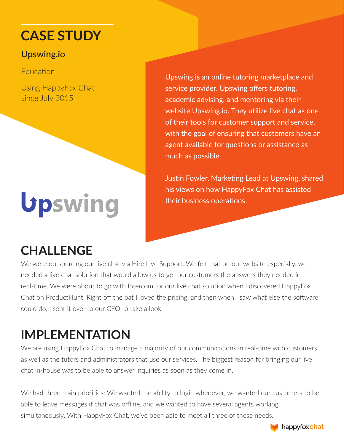# **CASE STUDY**

#### **Upswing.io**

**Education** 

Using HappyFox Chat since July 2015

# Upswing

## **CHALLENGE**

Upswing is an online tutoring marketplace and service provider. Upswing offers tutoring, academic advising, and mentoring via their website Upswing.io. They utilize live chat as one of their tools for customer support and service, with the goal of ensuring that customers have an agent available for questions or assistance as much as possible.

Justin Fowler, Marketing Lead at Upswing, shared his views on how HappyFox Chat has assisted their business operations.

We were outsourcing our live chat via Hire Live Support. We felt that on our website especially, we needed a live chat solution that would allow us to get our customers the answers they needed in real-time. We were about to go with Intercom for our live chat solution when I discovered HappyFox Chat on ProductHunt. Right off the bat I loved the pricing, and then when I saw what else the software could do, I sent it over to our CEO to take a look.

## **IMPLEMENTATION**

We are using HappyFox Chat to manage a majority of our communications in real-time with customers as well as the tutors and administrators that use our services. The biggest reason for bringing our live chat in-house was to be able to answer inquiries as soon as they come in.

We had three main priorities: We wanted the ability to login whenever, we wanted our customers to be able to leave messages if chat was offline, and we wanted to have several agents working simultaneously. With HappyFox Chat, we've been able to meet all three of these needs.